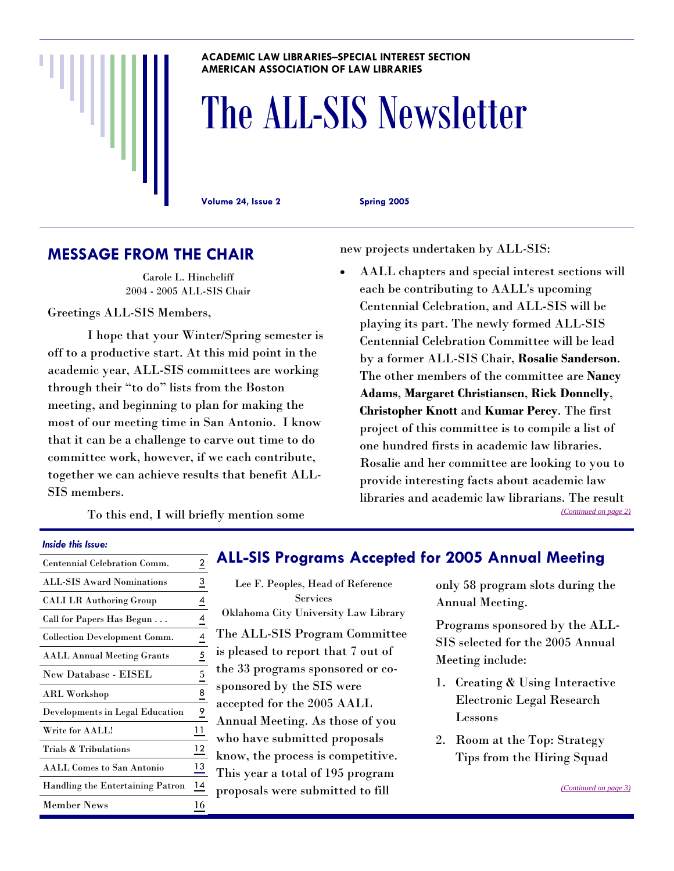#### **ACADEMIC LAW LIBRARIES–SPECIAL INTEREST SECTION AMERICAN ASSOCIATION OF LAW LIBRARIES**

# The ALL-SIS Newsletter

**Volume 24, Issue 2 Spring 2005** 

## **MESSAGE FROM THE CHAIR**

Carole L. Hinchcliff 2004 - 2005 ALL-SIS Chair

Greetings ALL-SIS Members,

 I hope that your Winter/Spring semester is off to a productive start. At this mid point in the academic year, ALL-SIS committees are working through their "to do" lists from the Boston meeting, and beginning to plan for making the most of our meeting time in San Antonio. I know that it can be a challenge to carve out time to do committee work, however, if we each contribute, together we can achieve results that benefit ALL-SIS members.

new projects undertaken by ALL-SIS:

• AALL chapters and special interest sections will each be contributing to AALL's upcoming Centennial Celebration, and ALL-SIS will be playing its part. The newly formed ALL-SIS Centennial Celebration Committee will be lead by a former ALL-SIS Chair, **Rosalie Sanderson**. The other members of the committee are **Nancy Adams**, **Margaret Christiansen**, **Rick Donnelly**, **Christopher Knott** and **Kumar Percy**. The first project of this committee is to compile a list of one hundred firsts in academic law libraries. Rosalie and her committee are looking to you to provide interesting facts about academic law libraries and academic law librarians. The result *[\(Continued on page 2\)](#page-1-0)*

To this end, I will briefly mention some

#### *Inside this Issue:*

| <b>Centennial Celebration Comm.</b>     | 2  |
|-----------------------------------------|----|
| <b>ALL-SIS Award Nominations</b>        | 3  |
| <b>CALI LR Authoring Group</b>          | 4  |
| Call for Papers Has Begun               | 4  |
| <b>Collection Development Comm.</b>     | 4  |
| <b>AALL Annual Meeting Grants</b>       | 5  |
| New Database - EISEL                    | 5  |
| <b>ARL Workshop</b>                     | 8  |
| <b>Developments in Legal Education</b>  | 9  |
| Write for AALL!                         | 11 |
| Trials & Tribulations                   | 12 |
| <b>AALL Comes to San Antonio</b>        | 13 |
| <b>Handling the Entertaining Patron</b> | 14 |
| Member News                             | 16 |

## **ALL-SIS Programs Accepted for 2005 Annual Meeting**

Lee F. Peoples, Head of Reference Services Oklahoma City University Law Library The ALL-SIS Program Committee is pleased to report that 7 out of the 33 programs sponsored or cosponsored by the SIS were accepted for the 2005 AALL Annual Meeting. As those of you who have submitted proposals know, the process is competitive. This year a total of 195 program proposals were submitted to fill

only 58 program slots during the Annual Meeting.

Programs sponsored by the ALL-SIS selected for the 2005 Annual Meeting include:

- 1. Creating & Using Interactive Electronic Legal Research Lessons
- 2. Room at the Top: Strategy Tips from the Hiring Squad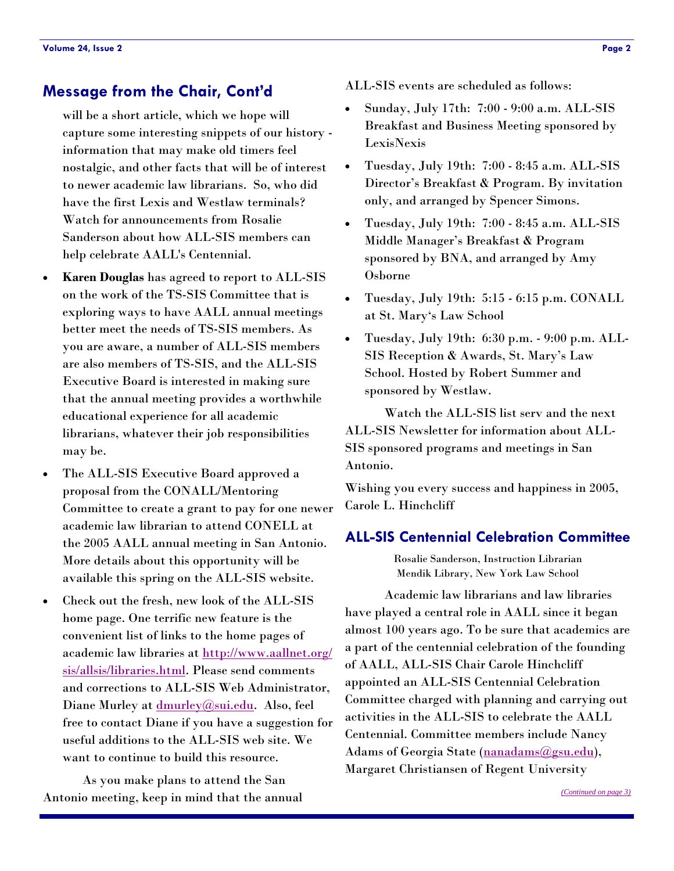## <span id="page-1-0"></span>**Message from the Chair, Cont'd**

will be a short article, which we hope will capture some interesting snippets of our history information that may make old timers feel nostalgic, and other facts that will be of interest to newer academic law librarians. So, who did have the first Lexis and Westlaw terminals? Watch for announcements from Rosalie Sanderson about how ALL-SIS members can help celebrate AALL's Centennial.

- **Karen Douglas** has agreed to report to ALL-SIS on the work of the TS-SIS Committee that is exploring ways to have AALL annual meetings better meet the needs of TS-SIS members. As you are aware, a number of ALL-SIS members are also members of TS-SIS, and the ALL-SIS Executive Board is interested in making sure that the annual meeting provides a worthwhile educational experience for all academic librarians, whatever their job responsibilities may be.
- The ALL-SIS Executive Board approved a proposal from the CONALL/Mentoring Committee to create a grant to pay for one newer academic law librarian to attend CONELL at the 2005 AALL annual meeting in San Antonio. More details about this opportunity will be available this spring on the ALL-SIS website.
- Check out the fresh, new look of the ALL-SIS home page. One terrific new feature is the convenient list of links to the home pages of academic law libraries at <http://www.aallnet.org/> sis/allsis/libraries.html. Please send comments and corrections to ALL-SIS Web Administrator, Diane Murley a[t dmurley@sui.edu.](mailto:dmurley@sui.edu) Also, feel free to contact Diane if you have a suggestion for useful additions to the ALL-SIS web site. We want to continue to build this resource.

 As you make plans to attend the San Antonio meeting, keep in mind that the annual ALL-SIS events are scheduled as follows:

- Sunday, July 17th: 7:00 9:00 a.m. ALL-SIS Breakfast and Business Meeting sponsored by LexisNexis
- Tuesday, July 19th: 7:00 8:45 a.m. ALL-SIS Director's Breakfast & Program. By invitation only, and arranged by Spencer Simons.
- Tuesday, July 19th: 7:00 8:45 a.m. ALL-SIS Middle Manager's Breakfast & Program sponsored by BNA, and arranged by Amy Osborne
- Tuesday, July 19th: 5:15 6:15 p.m. CONALL at St. Mary's Law School
- Tuesday, July 19th: 6:30 p.m. 9:00 p.m. ALL-SIS Reception & Awards, St. Mary's Law School. Hosted by Robert Summer and sponsored by Westlaw.

 Watch the ALL-SIS list serv and the next ALL-SIS Newsletter for information about ALL-SIS sponsored programs and meetings in San Antonio.

Wishing you every success and happiness in 2005, Carole L. Hinchcliff

### **ALL-SIS Centennial Celebration Committee**

Rosalie Sanderson, Instruction Librarian Mendik Library, New York Law School

 Academic law librarians and law libraries have played a central role in AALL since it began almost 100 years ago. To be sure that academics are a part of the centennial celebration of the founding of AALL, ALL-SIS Chair Carole Hinchcliff appointed an ALL-SIS Centennial Celebration Committee charged with planning and carrying out activities in the ALL-SIS to celebrate the AALL Centennial. Committee members include Nancy Adams of Georgia State [\(nanadams@gsu.edu\)](mailto:nanadams@gsu.edu), Margaret Christiansen of Regent University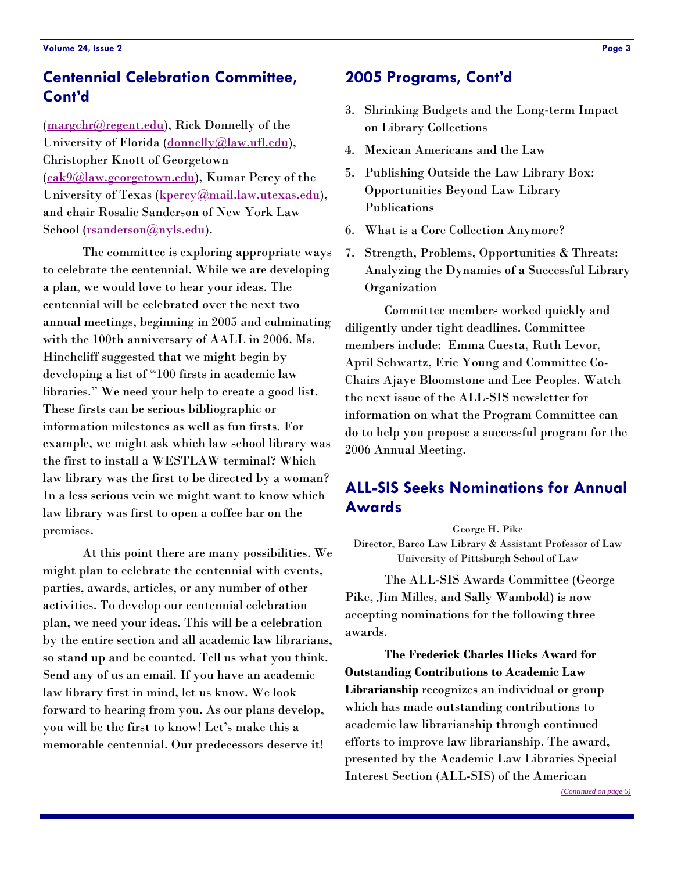# <span id="page-2-0"></span>**Centennial Celebration Committee, Cont'd**

([margchr@regent.edu\)](mailto:margchr@regent.edu), Rick Donnelly of the University of Florida [\(donnelly@law.ufl.edu](mailto:donnelly@law.ufl.edu)), Christopher Knott of Georgetown ([cak9@law.georgetown.edu\)](mailto:cak9@law.georgetown.edu), Kumar Percy of the University of Texas ([kpercy@mail.law.utexas.edu\)](mailto:kpercy@mail.law.utexas.edu), and chair Rosalie Sanderson of New York Law School ([rsanderson@nyls.edu](mailto:rsanderson@nyls.edu)).

 The committee is exploring appropriate ways to celebrate the centennial. While we are developing a plan, we would love to hear your ideas. The centennial will be celebrated over the next two annual meetings, beginning in 2005 and culminating with the 100th anniversary of AALL in 2006. Ms. Hinchcliff suggested that we might begin by developing a list of "100 firsts in academic law libraries." We need your help to create a good list. These firsts can be serious bibliographic or information milestones as well as fun firsts. For example, we might ask which law school library was the first to install a WESTLAW terminal? Which law library was the first to be directed by a woman? In a less serious vein we might want to know which law library was first to open a coffee bar on the premises.

 At this point there are many possibilities. We might plan to celebrate the centennial with events, parties, awards, articles, or any number of other activities. To develop our centennial celebration plan, we need your ideas. This will be a celebration by the entire section and all academic law librarians, so stand up and be counted. Tell us what you think. Send any of us an email. If you have an academic law library first in mind, let us know. We look forward to hearing from you. As our plans develop, you will be the first to know! Let's make this a memorable centennial. Our predecessors deserve it!

## **2005 Programs, Cont'd**

- 3. Shrinking Budgets and the Long-term Impact on Library Collections
- 4. Mexican Americans and the Law
- 5. Publishing Outside the Law Library Box: Opportunities Beyond Law Library Publications
- 6. What is a Core Collection Anymore?
- 7. Strength, Problems, Opportunities & Threats: Analyzing the Dynamics of a Successful Library **Organization**

 Committee members worked quickly and diligently under tight deadlines. Committee members include: Emma Cuesta, Ruth Levor, April Schwartz, Eric Young and Committee Co-Chairs Ajaye Bloomstone and Lee Peoples. Watch the next issue of the ALL-SIS newsletter for information on what the Program Committee can do to help you propose a successful program for the 2006 Annual Meeting.

## **ALL-SIS Seeks Nominations for Annual Awards**

George H. Pike

Director, Barco Law Library & Assistant Professor of Law University of Pittsburgh School of Law

 The ALL-SIS Awards Committee (George Pike, Jim Milles, and Sally Wambold) is now accepting nominations for the following three awards.

 **The Frederick Charles Hicks Award for Outstanding Contributions to Academic Law Librarianship** recognizes an individual or group which has made outstanding contributions to academic law librarianship through continued efforts to improve law librarianship. The award, presented by the Academic Law Libraries Special Interest Section (ALL-SIS) of the American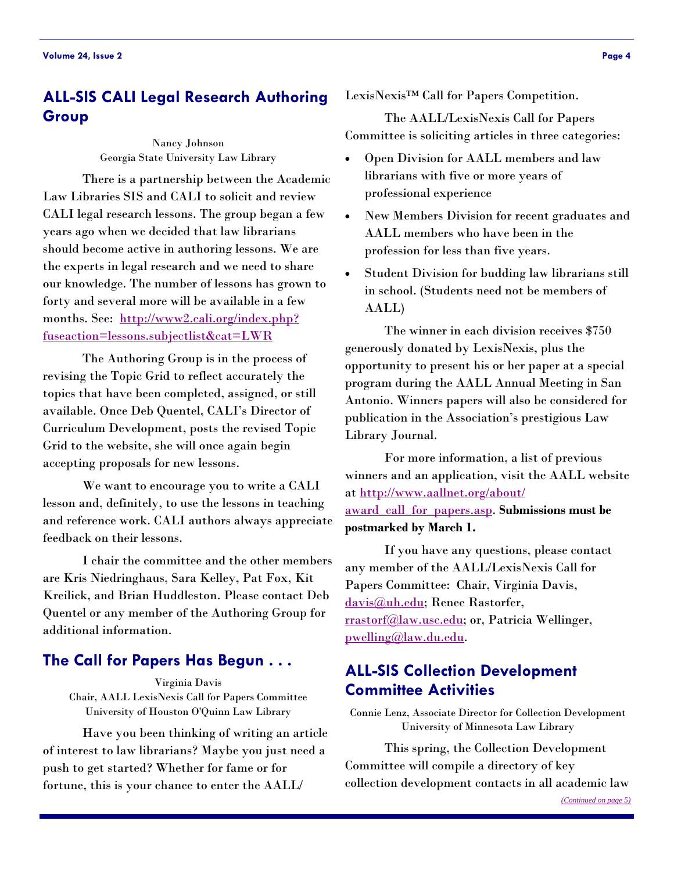## <span id="page-3-0"></span>**ALL-SIS CALI Legal Research Authoring Group**

Nancy Johnson Georgia State University Law Library

 There is a partnership between the Academic Law Libraries SIS and CALI to solicit and review CALI legal research lessons. The group began a few years ago when we decided that law librarians should become active in authoring lessons. We are the experts in legal research and we need to share our knowledge. The number of lessons has grown to forty and several more will be available in a few [months. See: http://www2.cali.org/index.php?](http://www2.cali.org/index.php?fuseaction=lessons.subjectlist&cat=LWR) fuseaction=lessons.subjectlist&cat=LWR

 The Authoring Group is in the process of revising the Topic Grid to reflect accurately the topics that have been completed, assigned, or still available. Once Deb Quentel, CALI's Director of Curriculum Development, posts the revised Topic Grid to the website, she will once again begin accepting proposals for new lessons.

 We want to encourage you to write a CALI lesson and, definitely, to use the lessons in teaching and reference work. CALI authors always appreciate feedback on their lessons.

 I chair the committee and the other members are Kris Niedringhaus, Sara Kelley, Pat Fox, Kit Kreilick, and Brian Huddleston. Please contact Deb Quentel or any member of the Authoring Group for additional information.

## **The Call for Papers Has Begun . . .**

Virginia Davis Chair, AALL LexisNexis Call for Papers Committee University of Houston O'Quinn Law Library

 Have you been thinking of writing an article of interest to law librarians? Maybe you just need a push to get started? Whether for fame or for fortune, this is your chance to enter the AALL/

LexisNexis™ Call for Papers Competition.

 The AALL/LexisNexis Call for Papers Committee is soliciting articles in three categories:

- Open Division for AALL members and law librarians with five or more years of professional experience
- New Members Division for recent graduates and AALL members who have been in the profession for less than five years.
- Student Division for budding law librarians still in school. (Students need not be members of AALL)

 The winner in each division receives \$750 generously donated by LexisNexis, plus the opportunity to present his or her paper at a special program during the AALL Annual Meeting in San Antonio. Winners papers will also be considered for publication in the Association's prestigious Law Library Journal.

 For more information, a list of previous winners and an application, visit the AALL website [at h](http://www.aallnet.org/about/award_call_for_papers.asp)[ttp://www.aallnet.org/about/](http://www.aallnet.org/about/) award\_call\_for\_papers.asp. **Submissions must be postmarked by March 1.**

 If you have any questions, please contact any member of the AALL/LexisNexis Call for Papers Committee: Chair, Virginia Davis, [davis@uh.edu](mailto:davis@uh.edu); Renee Rastorfer, [rrastorf@law.usc.edu;](mailto:rrastorf@law.usc.edu) or, Patricia Wellinger, [pwelling@law.du.edu.](mailto:pwelling@law.du.edu)

## **ALL-SIS Collection Development Committee Activities**

Connie Lenz, Associate Director for Collection Development University of Minnesota Law Library

 This spring, the Collection Development Committee will compile a directory of key collection development contacts in all academic law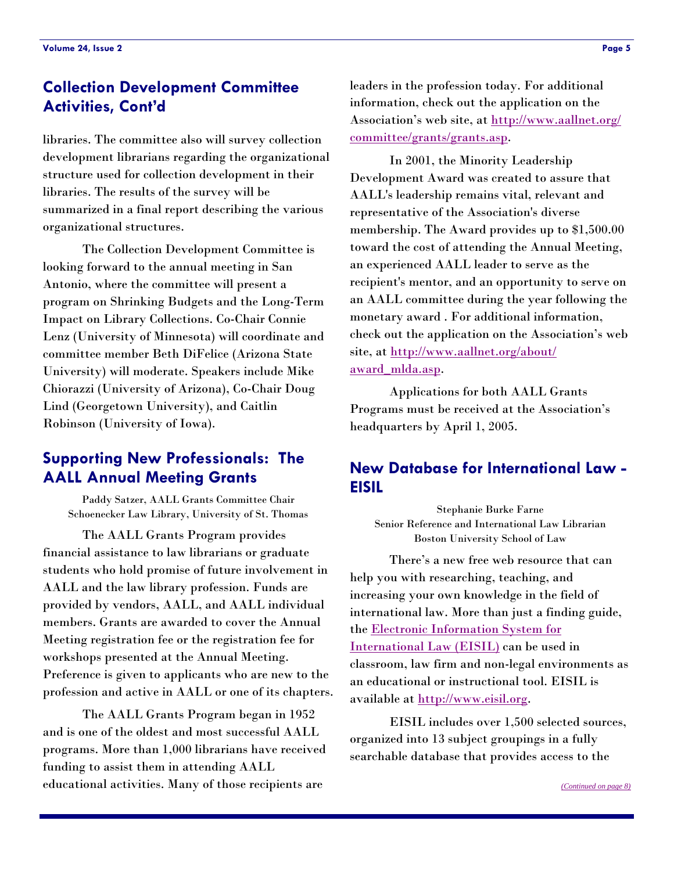# <span id="page-4-0"></span>**Collection Development Committee Activities, Cont'd**

libraries. The committee also will survey collection development librarians regarding the organizational structure used for collection development in their libraries. The results of the survey will be summarized in a final report describing the various organizational structures.

 The Collection Development Committee is looking forward to the annual meeting in San Antonio, where the committee will present a program on Shrinking Budgets and the Long-Term Impact on Library Collections. Co-Chair Connie Lenz (University of Minnesota) will coordinate and committee member Beth DiFelice (Arizona State University) will moderate. Speakers include Mike Chiorazzi (University of Arizona), Co-Chair Doug Lind (Georgetown University), and Caitlin Robinson (University of Iowa).

## **Supporting New Professionals: The AALL Annual Meeting Grants**

Paddy Satzer, AALL Grants Committee Chair Schoenecker Law Library, University of St. Thomas

 The AALL Grants Program provides financial assistance to law librarians or graduate students who hold promise of future involvement in AALL and the law library profession. Funds are provided by vendors, AALL, and AALL individual members. Grants are awarded to cover the Annual Meeting registration fee or the registration fee for workshops presented at the Annual Meeting. Preference is given to applicants who are new to the profession and active in AALL or one of its chapters.

 The AALL Grants Program began in 1952 and is one of the oldest and most successful AALL programs. More than 1,000 librarians have received funding to assist them in attending AALL educational activities. Many of those recipients are

leaders in the profession today. For additional information, check out the application on the [Association's web site, at](http://www.aallnet.org/committee/grants/grants.asp) <http://www.aallnet.org/> committee/grants/grants.asp.

 In 2001, the Minority Leadership Development Award was created to assure that AALL's leadership remains vital, relevant and representative of the Association's diverse membership. The Award provides up to \$1,500.00 toward the cost of attending the Annual Meeting, an experienced AALL leader to serve as the recipient's mentor, and an opportunity to serve on an AALL committee during the year following the monetary award . For additional information, check out the application on the Association's web [site, at h](http://www.aallnet.org/about/award_mlda.asp)[ttp://www.aallnet.org/about/](http://www.aallnet.org/about/) award\_mlda.asp.

 Applications for both AALL Grants Programs must be received at the Association's headquarters by April 1, 2005.

## **New Database for International Law - EISIL**

Stephanie Burke Farne Senior Reference and International Law Librarian Boston University School of Law

 There's a new free web resource that can help you with researching, teaching, and increasing your own knowledge in the field of international law. More than just a finding guide, [the Electronic Information System for](http://www.eisil.org) International Law (EISIL) can be used in classroom, law firm and non-legal environments as an educational or instructional tool. EISIL is available at [http://www.eisil.org.](http://www.eisil.org) 

 EISIL includes over 1,500 selected sources, organized into 13 subject groupings in a fully searchable database that provides access to the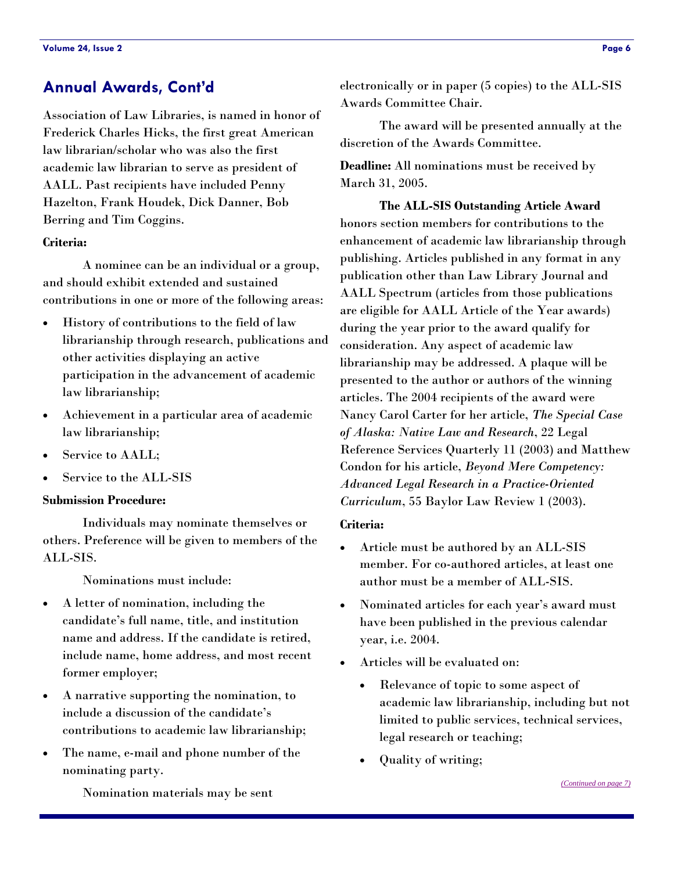Association of Law Libraries, is named in honor of Frederick Charles Hicks, the first great American law librarian/scholar who was also the first academic law librarian to serve as president of AALL. Past recipients have included Penny Hazelton, Frank Houdek, Dick Danner, Bob Berring and Tim Coggins.

#### **Criteria:**

 A nominee can be an individual or a group, and should exhibit extended and sustained contributions in one or more of the following areas:

- History of contributions to the field of law librarianship through research, publications and other activities displaying an active participation in the advancement of academic law librarianship;
- Achievement in a particular area of academic law librarianship;
- Service to AALL;
- Service to the ALL-SIS

#### **Submission Procedure:**

 Individuals may nominate themselves or others. Preference will be given to members of the ALL-SIS.

Nominations must include:

- A letter of nomination, including the candidate's full name, title, and institution name and address. If the candidate is retired, include name, home address, and most recent former employer;
- A narrative supporting the nomination, to include a discussion of the candidate's contributions to academic law librarianship;
- The name, e-mail and phone number of the nominating party.

<span id="page-5-0"></span>**Annual Awards, Cont'd electronically or in paper (5 copies) to the ALL-SIS** Awards Committee Chair.

> The award will be presented annually at the discretion of the Awards Committee.

**Deadline:** All nominations must be received by March 31, 2005.

 **The ALL-SIS Outstanding Article Award** honors section members for contributions to the enhancement of academic law librarianship through publishing. Articles published in any format in any publication other than Law Library Journal and AALL Spectrum (articles from those publications are eligible for AALL Article of the Year awards) during the year prior to the award qualify for consideration. Any aspect of academic law librarianship may be addressed. A plaque will be presented to the author or authors of the winning articles. The 2004 recipients of the award were Nancy Carol Carter for her article, *The Special Case of Alaska: Native Law and Research*, 22 Legal Reference Services Quarterly 11 (2003) and Matthew Condon for his article, *Beyond Mere Competency: Advanced Legal Research in a Practice-Oriented Curriculum*, 55 Baylor Law Review 1 (2003).

#### **Criteria:**

- Article must be authored by an ALL-SIS member. For co-authored articles, at least one author must be a member of ALL-SIS.
- Nominated articles for each year's award must have been published in the previous calendar year, i.e. 2004.
- Articles will be evaluated on:
	- Relevance of topic to some aspect of academic law librarianship, including but not limited to public services, technical services, legal research or teaching;
	- Quality of writing;

Nomination materials may be sent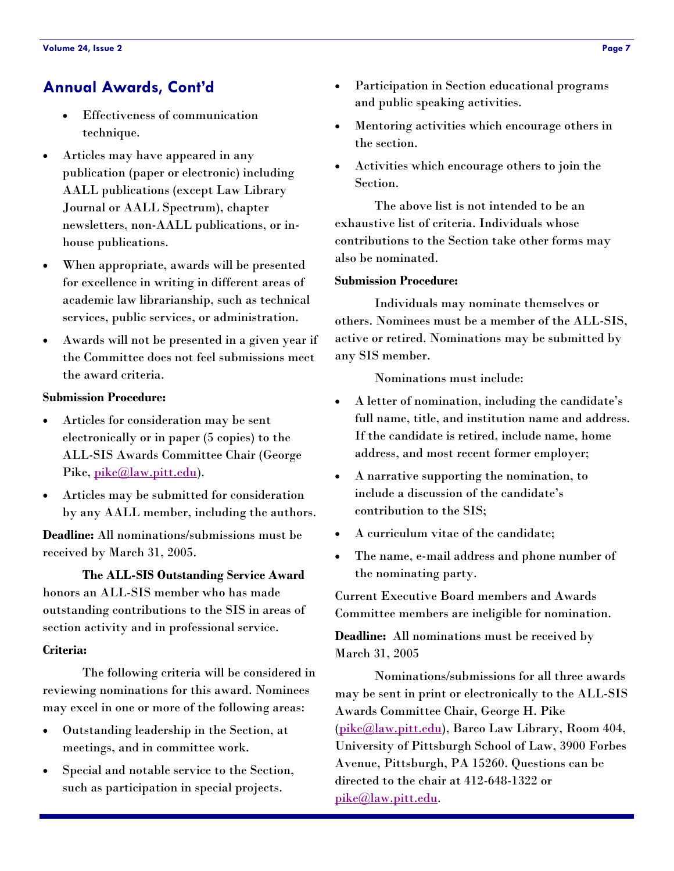# <span id="page-6-0"></span>**Annual Awards, Cont'd**

- Effectiveness of communication technique.
- Articles may have appeared in any publication (paper or electronic) including AALL publications (except Law Library Journal or AALL Spectrum), chapter newsletters, non-AALL publications, or inhouse publications.
- When appropriate, awards will be presented for excellence in writing in different areas of academic law librarianship, such as technical services, public services, or administration.
- Awards will not be presented in a given year if the Committee does not feel submissions meet the award criteria.

## **Submission Procedure:**

- Articles for consideration may be sent electronically or in paper (5 copies) to the ALL-SIS Awards Committee Chair (George Pike, [pike@law.pitt.edu\)](mailto:pike@law.pitt.edu).
- Articles may be submitted for consideration by any AALL member, including the authors.

**Deadline:** All nominations/submissions must be received by March 31, 2005.

 **The ALL-SIS Outstanding Service Award** honors an ALL-SIS member who has made outstanding contributions to the SIS in areas of section activity and in professional service.

## **Criteria:**

 The following criteria will be considered in reviewing nominations for this award. Nominees may excel in one or more of the following areas:

- Outstanding leadership in the Section, at meetings, and in committee work.
- Special and notable service to the Section, such as participation in special projects.
- Participation in Section educational programs and public speaking activities.
- Mentoring activities which encourage others in the section.
- Activities which encourage others to join the Section.

 The above list is not intended to be an exhaustive list of criteria. Individuals whose contributions to the Section take other forms may also be nominated.

## **Submission Procedure:**

 Individuals may nominate themselves or others. Nominees must be a member of the ALL-SIS, active or retired. Nominations may be submitted by any SIS member.

Nominations must include:

- A letter of nomination, including the candidate's full name, title, and institution name and address. If the candidate is retired, include name, home address, and most recent former employer;
- A narrative supporting the nomination, to include a discussion of the candidate's contribution to the SIS;
- A curriculum vitae of the candidate;
- The name, e-mail address and phone number of the nominating party.

Current Executive Board members and Awards Committee members are ineligible for nomination.

**Deadline:** All nominations must be received by March 31, 2005

 Nominations/submissions for all three awards may be sent in print or electronically to the ALL-SIS Awards Committee Chair, George H. Pike [\(pike@law.pitt.edu](mailto:pike@law.pitt.edu)), Barco Law Library, Room 404, University of Pittsburgh School of Law, 3900 Forbes Avenue, Pittsburgh, PA 15260. Questions can be directed to the chair at 412-648-1322 or [pike@law.pitt.edu.](mailto:pike@law.pitt.edu)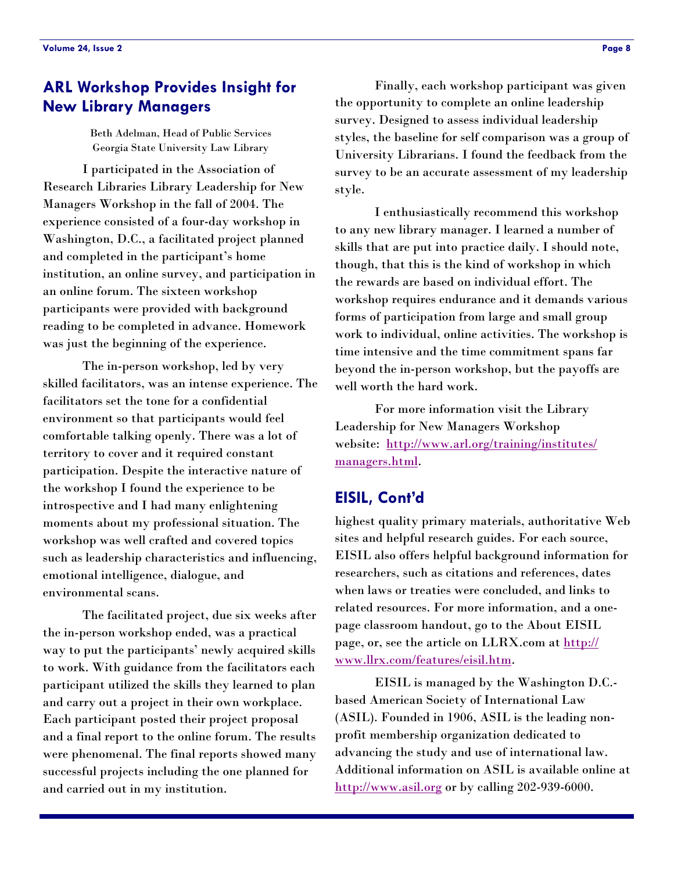## <span id="page-7-0"></span>**ARL Workshop Provides Insight for New Library Managers**

Beth Adelman, Head of Public Services Georgia State University Law Library

 I participated in the Association of Research Libraries Library Leadership for New Managers Workshop in the fall of 2004. The experience consisted of a four-day workshop in Washington, D.C., a facilitated project planned and completed in the participant's home institution, an online survey, and participation in an online forum. The sixteen workshop participants were provided with background reading to be completed in advance. Homework was just the beginning of the experience.

 The in-person workshop, led by very skilled facilitators, was an intense experience. The facilitators set the tone for a confidential environment so that participants would feel comfortable talking openly. There was a lot of territory to cover and it required constant participation. Despite the interactive nature of the workshop I found the experience to be introspective and I had many enlightening moments about my professional situation. The workshop was well crafted and covered topics such as leadership characteristics and influencing, emotional intelligence, dialogue, and environmental scans.

 The facilitated project, due six weeks after the in-person workshop ended, was a practical way to put the participants' newly acquired skills to work. With guidance from the facilitators each participant utilized the skills they learned to plan and carry out a project in their own workplace. Each participant posted their project proposal and a final report to the online forum. The results were phenomenal. The final reports showed many successful projects including the one planned for and carried out in my institution.

 Finally, each workshop participant was given the opportunity to complete an online leadership survey. Designed to assess individual leadership styles, the baseline for self comparison was a group of University Librarians. I found the feedback from the survey to be an accurate assessment of my leadership style.

 I enthusiastically recommend this workshop to any new library manager. I learned a number of skills that are put into practice daily. I should note, though, that this is the kind of workshop in which the rewards are based on individual effort. The workshop requires endurance and it demands various forms of participation from large and small group work to individual, online activities. The workshop is time intensive and the time commitment spans far beyond the in-person workshop, but the payoffs are well worth the hard work.

 For more information visit the Library Leadership for New Managers Workshop [website: h](http://www.arl.org/training/institutes/managers.html)[ttp://www.arl.org/training/institutes/](http://www.arl.org/training/institutes/) managers.html.

## **EISIL, Cont'd**

highest quality primary materials, authoritative Web sites and helpful research guides. For each source, EISIL also offers helpful background information for researchers, such as citations and references, dates when laws or treaties were concluded, and links to related resources. For more information, and a onepage classroom handout, go to the About EISIL [page, or, see the article on LLRX.com at http://](http://www.llrx.com/features/eisil.htm) www.llrx.com/features/eisil.htm.

 EISIL is managed by the Washington D.C. based American Society of International Law (ASIL). Founded in 1906, ASIL is the leading nonprofit membership organization dedicated to advancing the study and use of international law. Additional information on ASIL is available online at <http://www.asil.org>or by calling 202-939-6000.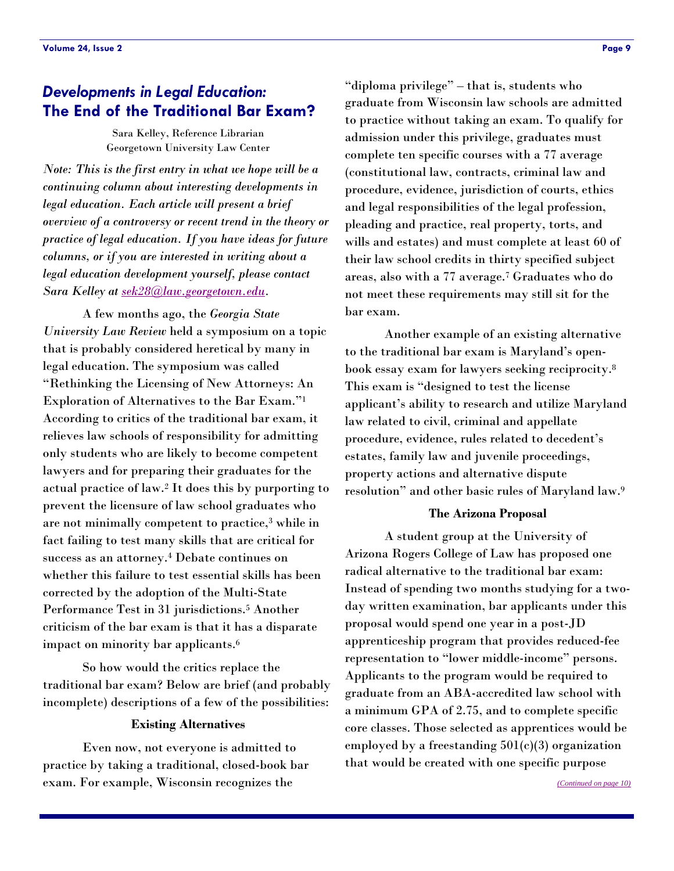## <span id="page-8-0"></span>*Developments in Legal Education:*  **The End of the Traditional Bar Exam?**

Sara Kelley, Reference Librarian Georgetown University Law Center

*Note: This is the first entry in what we hope will be a continuing column about interesting developments in legal education. Each article will present a brief overview of a controversy or recent trend in the theory or practice of legal education. If you have ideas for future columns, or if you are interested in writing about a legal education development yourself, please contact Sara Kelley at [sek28@law.georgetown.edu.](mailto:sek28@law.georgetown.edu)* 

 A few months ago, the *Georgia State University Law Review* held a symposium on a topic that is probably considered heretical by many in legal education. The symposium was called "Rethinking the Licensing of New Attorneys: An Exploration of Alternatives to the Bar Exam."1 According to critics of the traditional bar exam, it relieves law schools of responsibility for admitting only students who are likely to become competent lawyers and for preparing their graduates for the actual practice of law.2 It does this by purporting to prevent the licensure of law school graduates who are not minimally competent to practice,3 while in fact failing to test many skills that are critical for success as an attorney.4 Debate continues on whether this failure to test essential skills has been corrected by the adoption of the Multi-State Performance Test in 31 jurisdictions.5 Another criticism of the bar exam is that it has a disparate impact on minority bar applicants.6

 So how would the critics replace the traditional bar exam? Below are brief (and probably incomplete) descriptions of a few of the possibilities:

#### **Existing Alternatives**

 Even now, not everyone is admitted to practice by taking a traditional, closed-book bar exam. For example, Wisconsin recognizes the

"diploma privilege" – that is, students who graduate from Wisconsin law schools are admitted to practice without taking an exam. To qualify for admission under this privilege, graduates must complete ten specific courses with a 77 average (constitutional law, contracts, criminal law and procedure, evidence, jurisdiction of courts, ethics and legal responsibilities of the legal profession, pleading and practice, real property, torts, and wills and estates) and must complete at least 60 of their law school credits in thirty specified subject areas, also with a 77 average.7 Graduates who do not meet these requirements may still sit for the bar exam.

 Another example of an existing alternative to the traditional bar exam is Maryland's openbook essay exam for lawyers seeking reciprocity.8 This exam is "designed to test the license applicant's ability to research and utilize Maryland law related to civil, criminal and appellate procedure, evidence, rules related to decedent's estates, family law and juvenile proceedings, property actions and alternative dispute resolution" and other basic rules of Maryland law.9

#### **The Arizona Proposal**

 A student group at the University of Arizona Rogers College of Law has proposed one radical alternative to the traditional bar exam: Instead of spending two months studying for a twoday written examination, bar applicants under this proposal would spend one year in a post-JD apprenticeship program that provides reduced-fee representation to "lower middle-income" persons. Applicants to the program would be required to graduate from an ABA-accredited law school with a minimum GPA of 2.75, and to complete specific core classes. Those selected as apprentices would be employed by a freestanding  $501(c)(3)$  organization that would be created with one specific purpose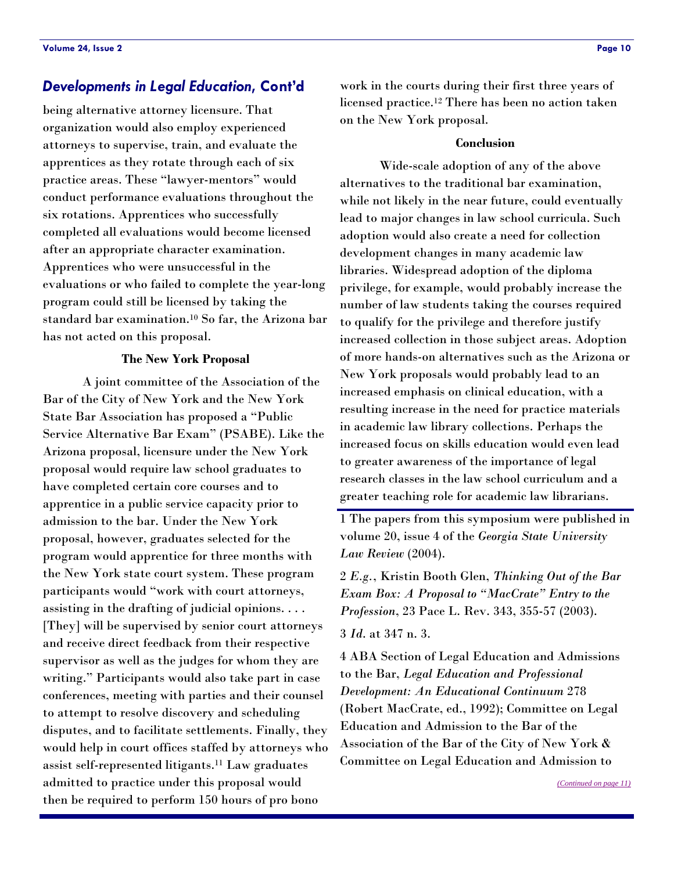being alternative attorney licensure. That organization would also employ experienced attorneys to supervise, train, and evaluate the apprentices as they rotate through each of six practice areas. These "lawyer-mentors" would conduct performance evaluations throughout the six rotations. Apprentices who successfully completed all evaluations would become licensed after an appropriate character examination. Apprentices who were unsuccessful in the evaluations or who failed to complete the year-long program could still be licensed by taking the standard bar examination.10 So far, the Arizona bar has not acted on this proposal.

#### **The New York Proposal**

 A joint committee of the Association of the Bar of the City of New York and the New York State Bar Association has proposed a "Public Service Alternative Bar Exam" (PSABE). Like the Arizona proposal, licensure under the New York proposal would require law school graduates to have completed certain core courses and to apprentice in a public service capacity prior to admission to the bar. Under the New York proposal, however, graduates selected for the program would apprentice for three months with the New York state court system. These program participants would "work with court attorneys, assisting in the drafting of judicial opinions. . . . [They] will be supervised by senior court attorneys and receive direct feedback from their respective supervisor as well as the judges for whom they are writing." Participants would also take part in case conferences, meeting with parties and their counsel to attempt to resolve discovery and scheduling disputes, and to facilitate settlements. Finally, they would help in court offices staffed by attorneys who assist self-represented litigants.11 Law graduates admitted to practice under this proposal would then be required to perform 150 hours of pro bono

<span id="page-9-0"></span>**Developments in Legal Education, Cont'd** work in the courts during their first three years of licensed practice.12 There has been no action taken on the New York proposal.

#### **Conclusion**

 Wide-scale adoption of any of the above alternatives to the traditional bar examination, while not likely in the near future, could eventually lead to major changes in law school curricula. Such adoption would also create a need for collection development changes in many academic law libraries. Widespread adoption of the diploma privilege, for example, would probably increase the number of law students taking the courses required to qualify for the privilege and therefore justify increased collection in those subject areas. Adoption of more hands-on alternatives such as the Arizona or New York proposals would probably lead to an increased emphasis on clinical education, with a resulting increase in the need for practice materials in academic law library collections. Perhaps the increased focus on skills education would even lead to greater awareness of the importance of legal research classes in the law school curriculum and a greater teaching role for academic law librarians.

1 The papers from this symposium were published in volume 20, issue 4 of the *Georgia State University Law Review* (2004).

2 *E.g.*, Kristin Booth Glen, *Thinking Out of the Bar Exam Box: A Proposal to "MacCrate" Entry to the Profession*, 23 Pace L. Rev. 343, 355-57 (2003).

3 *Id*. at 347 n. 3.

4 ABA Section of Legal Education and Admissions to the Bar, *Legal Education and Professional Development: An Educational Continuum* 278 (Robert MacCrate, ed., 1992); Committee on Legal Education and Admission to the Bar of the Association of the Bar of the City of New York & Committee on Legal Education and Admission to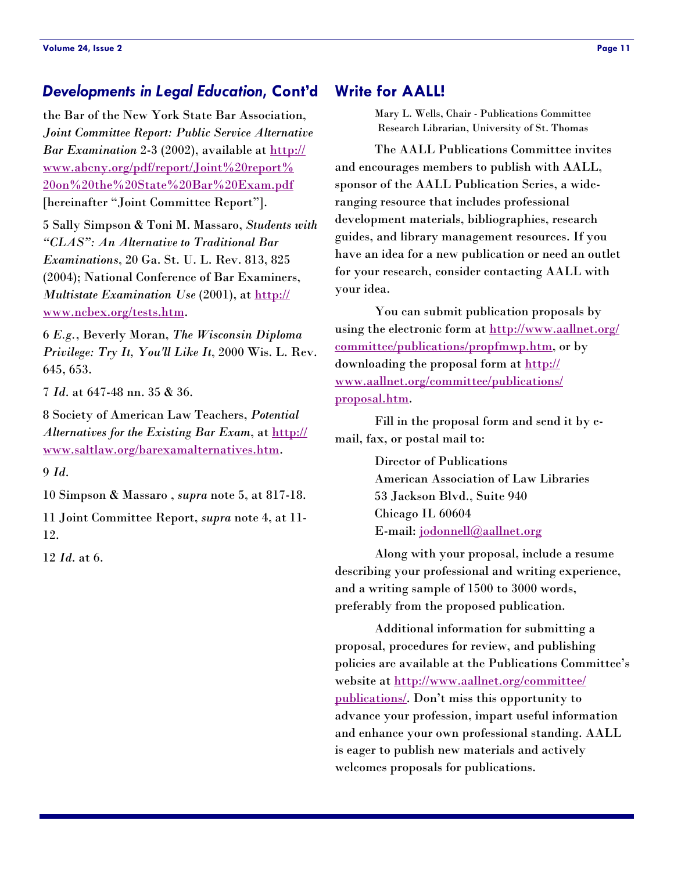### <span id="page-10-0"></span>*Developments in Legal Education***, Cont'd**

the Bar of the New York State Bar Association, *Joint Committee Report: Public Service Alternative Bar Examination* 2-3 (2002), available at http:// [www.abcny.org/pdf/report/Joint%20report%](http://www.abcny.org/pdf/report/Joint%20report%) 20on%20the%20State%20Bar%20Exam.pdf [hereinafter "Joint Committee Report"].

5 Sally Simpson & Toni M. Massaro, *Students with "CLAS": An Alternative to Traditional Bar Examinations*, 20 Ga. St. U. L. Rev. 813, 825 (2004); National Conference of Bar Examiners, *[Multistate Examination Use](http://www.ncbex.org/tests.htm)* (2001), at http:// www.ncbex.org/tests.htm.

6 *E.g.*, Beverly Moran, *The Wisconsin Diploma Privilege: Try It, You'll Like It*, 2000 Wis. L. Rev. 645, 653.

7 *Id*. at 647-48 nn. 35 & 36.

8 Society of American Law Teachers, *Potential*  Alternatives for the Existing Bar Exam, at http:// [www.saltlaw.org/barexamalternatives.htm.](http://www.saltlaw.org/barexamalternatives.htm) 

9 *Id*.

10 Simpson & Massaro , *supra* note 5, at 817-18.

11 Joint Committee Report, *supra* note 4, at 11- 12.

12 *Id*. at 6.

## **Write for AALL!**

Mary L. Wells, Chair - Publications Committee Research Librarian, University of St. Thomas

The AALL Publications Committee invites and encourages members to publish with AALL, sponsor of the AALL Publication Series, a wideranging resource that includes professional development materials, bibliographies, research guides, and library management resources. If you have an idea for a new publication or need an outlet for your research, consider contacting AALL with your idea.

 You can submit publication proposals by [using the electronic form at h](http://www.aallnet.org/committee/publications/propfmwp.htm)[ttp://www.aallnet.org/](http://www.aallnet.org/) committee/publications/propfmwp.htm, or by downloading the proposal form at http:// [www.aallnet.org/committee/publications/](http://www.aallnet.org/committee/publications/) proposal.htm.

 Fill in the proposal form and send it by email, fax, or postal mail to:

> Director of Publications American Association of Law Libraries 53 Jackson Blvd., Suite 940 Chicago IL 60604 E-mail: [jodonnell@aallnet.org](mailto:jodonnell@aallnet.org)

 Along with your proposal, include a resume describing your professional and writing experience, and a writing sample of 1500 to 3000 words, preferably from the proposed publication.

 Additional information for submitting a proposal, procedures for review, and publishing policies are available at the Publications Committee's [website at](http://www.aallnet.org/committee/publications/) <http://www.aallnet.org/committee/> publications/. Don't miss this opportunity to advance your profession, impart useful information and enhance your own professional standing. AALL is eager to publish new materials and actively welcomes proposals for publications.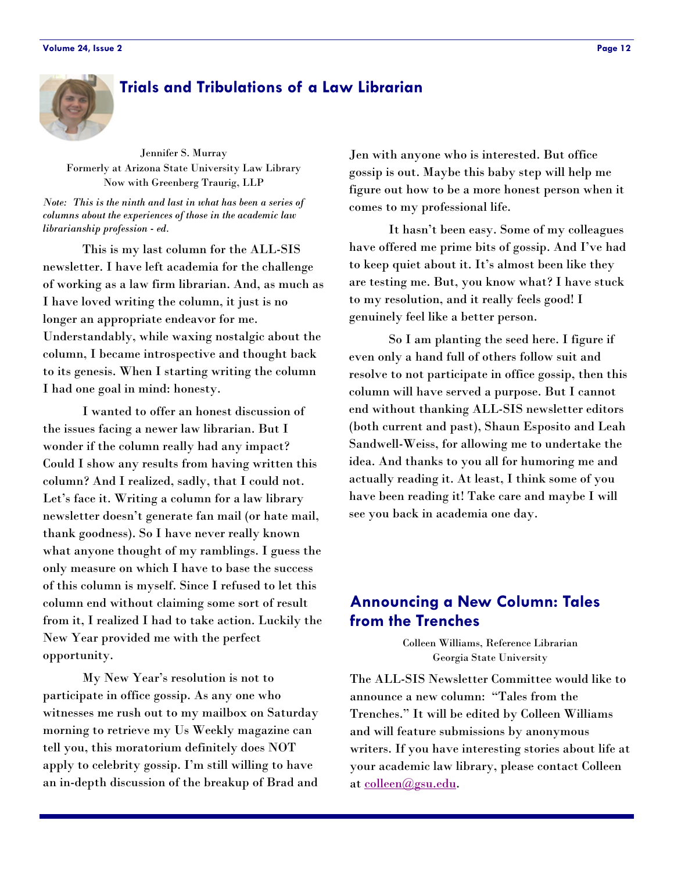## <span id="page-11-0"></span>**Trials and Tribulations of a Law Librarian**

Jennifer S. Murray Formerly at Arizona State University Law Library Now with Greenberg Traurig, LLP

*Note: This is the ninth and last in what has been a series of columns about the experiences of those in the academic law librarianship profession - ed.* 

 This is my last column for the ALL-SIS newsletter. I have left academia for the challenge of working as a law firm librarian. And, as much as I have loved writing the column, it just is no longer an appropriate endeavor for me. Understandably, while waxing nostalgic about the column, I became introspective and thought back to its genesis. When I starting writing the column I had one goal in mind: honesty.

 I wanted to offer an honest discussion of the issues facing a newer law librarian. But I wonder if the column really had any impact? Could I show any results from having written this column? And I realized, sadly, that I could not. Let's face it. Writing a column for a law library newsletter doesn't generate fan mail (or hate mail, thank goodness). So I have never really known what anyone thought of my ramblings. I guess the only measure on which I have to base the success of this column is myself. Since I refused to let this column end without claiming some sort of result from it, I realized I had to take action. Luckily the New Year provided me with the perfect opportunity.

 My New Year's resolution is not to participate in office gossip. As any one who witnesses me rush out to my mailbox on Saturday morning to retrieve my Us Weekly magazine can tell you, this moratorium definitely does NOT apply to celebrity gossip. I'm still willing to have an in-depth discussion of the breakup of Brad and

Jen with anyone who is interested. But office gossip is out. Maybe this baby step will help me figure out how to be a more honest person when it comes to my professional life.

 It hasn't been easy. Some of my colleagues have offered me prime bits of gossip. And I've had to keep quiet about it. It's almost been like they are testing me. But, you know what? I have stuck to my resolution, and it really feels good! I genuinely feel like a better person.

 So I am planting the seed here. I figure if even only a hand full of others follow suit and resolve to not participate in office gossip, then this column will have served a purpose. But I cannot end without thanking ALL-SIS newsletter editors (both current and past), Shaun Esposito and Leah Sandwell-Weiss, for allowing me to undertake the idea. And thanks to you all for humoring me and actually reading it. At least, I think some of you have been reading it! Take care and maybe I will see you back in academia one day.

## **Announcing a New Column: Tales from the Trenches**

Colleen Williams, Reference Librarian Georgia State University

The ALL-SIS Newsletter Committee would like to announce a new column: "Tales from the Trenches." It will be edited by Colleen Williams and will feature submissions by anonymous writers. If you have interesting stories about life at your academic law library, please contact Colleen at [colleen@gsu.edu.](mailto:colleen@gsu.edu)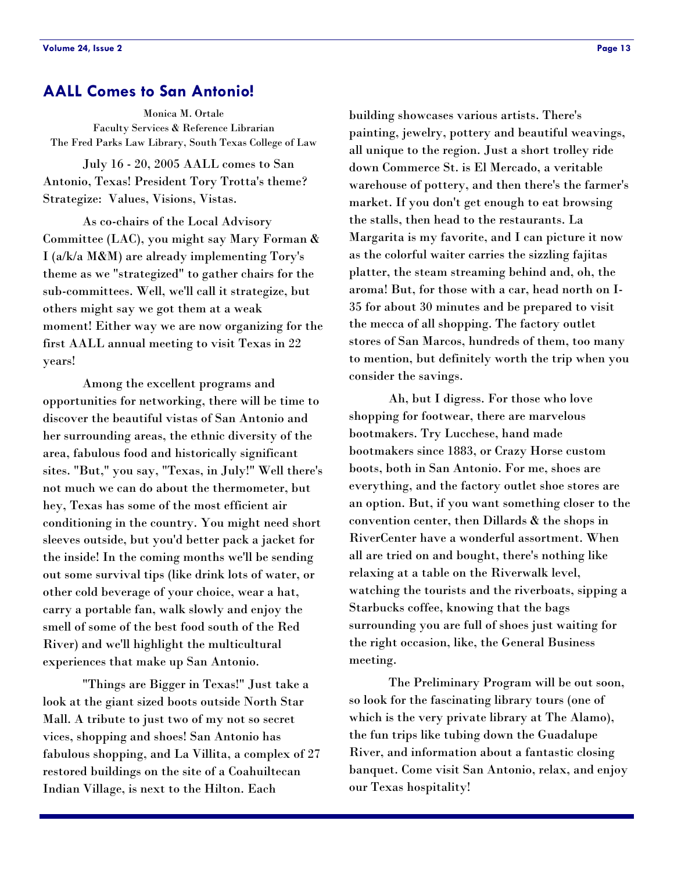## <span id="page-12-0"></span>**AALL Comes to San Antonio!**

Monica M. Ortale Faculty Services & Reference Librarian The Fred Parks Law Library, South Texas College of Law

 July 16 - 20, 2005 AALL comes to San Antonio, Texas! President Tory Trotta's theme? Strategize: Values, Visions, Vistas.

 As co-chairs of the Local Advisory Committee (LAC), you might say Mary Forman & I (a/k/a M&M) are already implementing Tory's theme as we "strategized" to gather chairs for the sub-committees. Well, we'll call it strategize, but others might say we got them at a weak moment! Either way we are now organizing for the first AALL annual meeting to visit Texas in 22 years!

 Among the excellent programs and opportunities for networking, there will be time to discover the beautiful vistas of San Antonio and her surrounding areas, the ethnic diversity of the area, fabulous food and historically significant sites. "But," you say, "Texas, in July!" Well there's not much we can do about the thermometer, but hey, Texas has some of the most efficient air conditioning in the country. You might need short sleeves outside, but you'd better pack a jacket for the inside! In the coming months we'll be sending out some survival tips (like drink lots of water, or other cold beverage of your choice, wear a hat, carry a portable fan, walk slowly and enjoy the smell of some of the best food south of the Red River) and we'll highlight the multicultural experiences that make up San Antonio.

 "Things are Bigger in Texas!" Just take a look at the giant sized boots outside North Star Mall. A tribute to just two of my not so secret vices, shopping and shoes! San Antonio has fabulous shopping, and La Villita, a complex of 27 restored buildings on the site of a Coahuiltecan Indian Village, is next to the Hilton. Each

building showcases various artists. There's painting, jewelry, pottery and beautiful weavings, all unique to the region. Just a short trolley ride down Commerce St. is El Mercado, a veritable warehouse of pottery, and then there's the farmer's market. If you don't get enough to eat browsing the stalls, then head to the restaurants. La Margarita is my favorite, and I can picture it now as the colorful waiter carries the sizzling fajitas platter, the steam streaming behind and, oh, the aroma! But, for those with a car, head north on I-35 for about 30 minutes and be prepared to visit the mecca of all shopping. The factory outlet stores of San Marcos, hundreds of them, too many to mention, but definitely worth the trip when you consider the savings.

 Ah, but I digress. For those who love shopping for footwear, there are marvelous bootmakers. Try Lucchese, hand made bootmakers since 1883, or Crazy Horse custom boots, both in San Antonio. For me, shoes are everything, and the factory outlet shoe stores are an option. But, if you want something closer to the convention center, then Dillards & the shops in RiverCenter have a wonderful assortment. When all are tried on and bought, there's nothing like relaxing at a table on the Riverwalk level, watching the tourists and the riverboats, sipping a Starbucks coffee, knowing that the bags surrounding you are full of shoes just waiting for the right occasion, like, the General Business meeting.

 The Preliminary Program will be out soon, so look for the fascinating library tours (one of which is the very private library at The Alamo), the fun trips like tubing down the Guadalupe River, and information about a fantastic closing banquet. Come visit San Antonio, relax, and enjoy our Texas hospitality!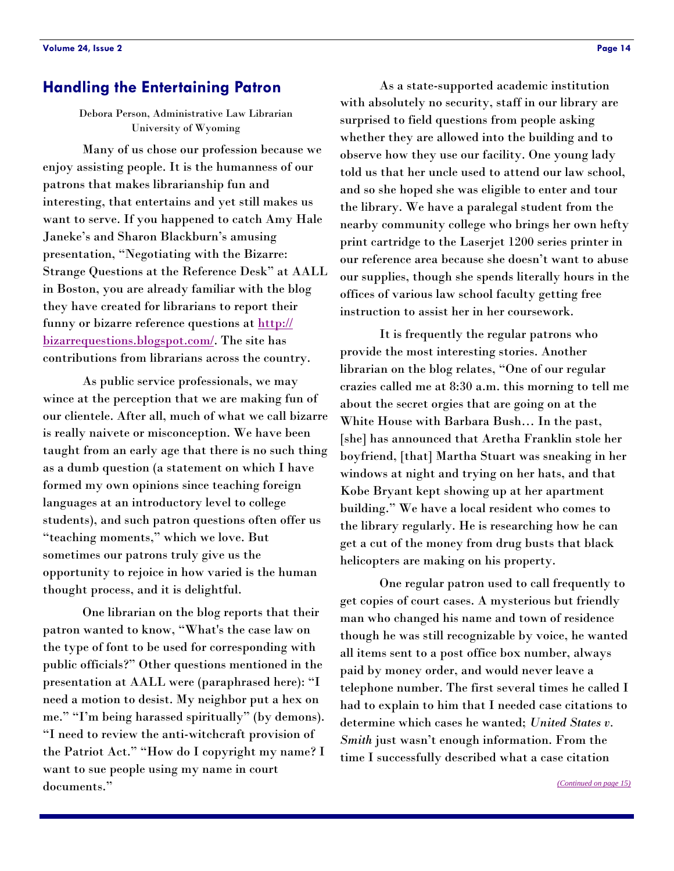## <span id="page-13-0"></span>**Handling the Entertaining Patron**

Debora Person, Administrative Law Librarian University of Wyoming

 Many of us chose our profession because we enjoy assisting people. It is the humanness of our patrons that makes librarianship fun and interesting, that entertains and yet still makes us want to serve. If you happened to catch Amy Hale Janeke's and Sharon Blackburn's amusing presentation, "Negotiating with the Bizarre: Strange Questions at the Reference Desk" at AALL in Boston, you are already familiar with the blog they have created for librarians to report their [funny or bizarre reference questions at http://](http://bizarrequestions.blogspot.com/) bizarrequestions.blogspot.com/. The site has contributions from librarians across the country.

 As public service professionals, we may wince at the perception that we are making fun of our clientele. After all, much of what we call bizarre is really naivete or misconception. We have been taught from an early age that there is no such thing as a dumb question (a statement on which I have formed my own opinions since teaching foreign languages at an introductory level to college students), and such patron questions often offer us "teaching moments," which we love. But sometimes our patrons truly give us the opportunity to rejoice in how varied is the human thought process, and it is delightful.

 One librarian on the blog reports that their patron wanted to know, "What's the case law on the type of font to be used for corresponding with public officials?" Other questions mentioned in the presentation at AALL were (paraphrased here): "I need a motion to desist. My neighbor put a hex on me." "I'm being harassed spiritually" (by demons). "I need to review the anti-witchcraft provision of the Patriot Act." "How do I copyright my name? I want to sue people using my name in court documents."

 As a state-supported academic institution with absolutely no security, staff in our library are surprised to field questions from people asking whether they are allowed into the building and to observe how they use our facility. One young lady told us that her uncle used to attend our law school, and so she hoped she was eligible to enter and tour the library. We have a paralegal student from the nearby community college who brings her own hefty print cartridge to the Laserjet 1200 series printer in our reference area because she doesn't want to abuse our supplies, though she spends literally hours in the offices of various law school faculty getting free instruction to assist her in her coursework.

 It is frequently the regular patrons who provide the most interesting stories. Another librarian on the blog relates, "One of our regular crazies called me at 8:30 a.m. this morning to tell me about the secret orgies that are going on at the White House with Barbara Bush… In the past, [she] has announced that Aretha Franklin stole her boyfriend, [that] Martha Stuart was sneaking in her windows at night and trying on her hats, and that Kobe Bryant kept showing up at her apartment building." We have a local resident who comes to the library regularly. He is researching how he can get a cut of the money from drug busts that black helicopters are making on his property.

 One regular patron used to call frequently to get copies of court cases. A mysterious but friendly man who changed his name and town of residence though he was still recognizable by voice, he wanted all items sent to a post office box number, always paid by money order, and would never leave a telephone number. The first several times he called I had to explain to him that I needed case citations to determine which cases he wanted; *United States v. Smith* just wasn't enough information. From the time I successfully described what a case citation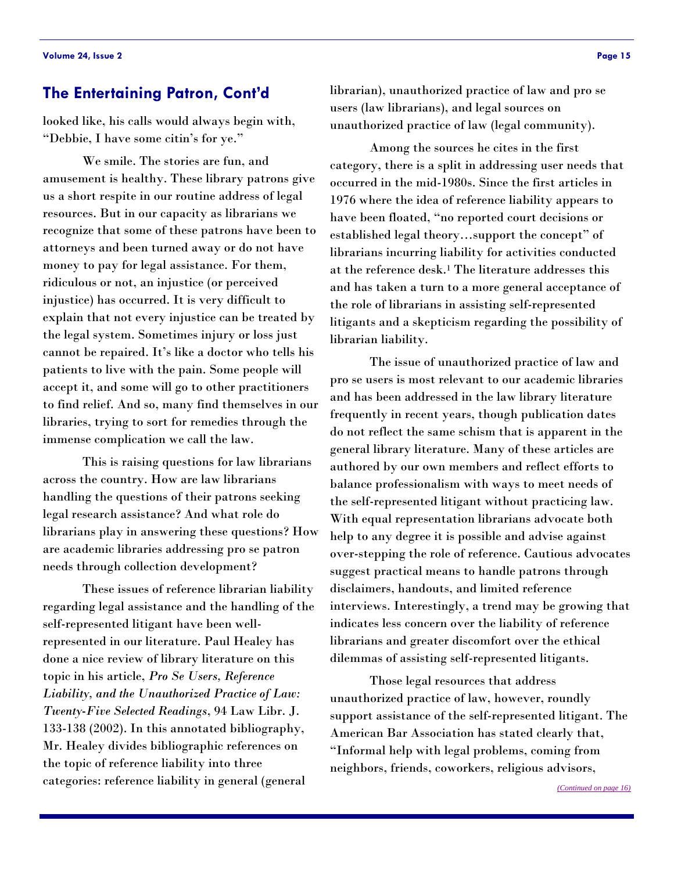## <span id="page-14-0"></span>**The Entertaining Patron, Cont'd**

looked like, his calls would always begin with, "Debbie, I have some citin's for ye."

 We smile. The stories are fun, and amusement is healthy. These library patrons give us a short respite in our routine address of legal resources. But in our capacity as librarians we recognize that some of these patrons have been to attorneys and been turned away or do not have money to pay for legal assistance. For them, ridiculous or not, an injustice (or perceived injustice) has occurred. It is very difficult to explain that not every injustice can be treated by the legal system. Sometimes injury or loss just cannot be repaired. It's like a doctor who tells his patients to live with the pain. Some people will accept it, and some will go to other practitioners to find relief. And so, many find themselves in our libraries, trying to sort for remedies through the immense complication we call the law.

 This is raising questions for law librarians across the country. How are law librarians handling the questions of their patrons seeking legal research assistance? And what role do librarians play in answering these questions? How are academic libraries addressing pro se patron needs through collection development?

 These issues of reference librarian liability regarding legal assistance and the handling of the self-represented litigant have been wellrepresented in our literature. Paul Healey has done a nice review of library literature on this topic in his article, *Pro Se Users, Reference Liability, and the Unauthorized Practice of Law: Twenty-Five Selected Readings*, 94 Law Libr. J. 133-138 (2002). In this annotated bibliography, Mr. Healey divides bibliographic references on the topic of reference liability into three categories: reference liability in general (general

librarian), unauthorized practice of law and pro se users (law librarians), and legal sources on unauthorized practice of law (legal community).

 Among the sources he cites in the first category, there is a split in addressing user needs that occurred in the mid-1980s. Since the first articles in 1976 where the idea of reference liability appears to have been floated, "no reported court decisions or established legal theory…support the concept" of librarians incurring liability for activities conducted at the reference desk.1 The literature addresses this and has taken a turn to a more general acceptance of the role of librarians in assisting self-represented litigants and a skepticism regarding the possibility of librarian liability.

 The issue of unauthorized practice of law and pro se users is most relevant to our academic libraries and has been addressed in the law library literature frequently in recent years, though publication dates do not reflect the same schism that is apparent in the general library literature. Many of these articles are authored by our own members and reflect efforts to balance professionalism with ways to meet needs of the self-represented litigant without practicing law. With equal representation librarians advocate both help to any degree it is possible and advise against over-stepping the role of reference. Cautious advocates suggest practical means to handle patrons through disclaimers, handouts, and limited reference interviews. Interestingly, a trend may be growing that indicates less concern over the liability of reference librarians and greater discomfort over the ethical dilemmas of assisting self-represented litigants.

 Those legal resources that address unauthorized practice of law, however, roundly support assistance of the self-represented litigant. The American Bar Association has stated clearly that, "Informal help with legal problems, coming from neighbors, friends, coworkers, religious advisors,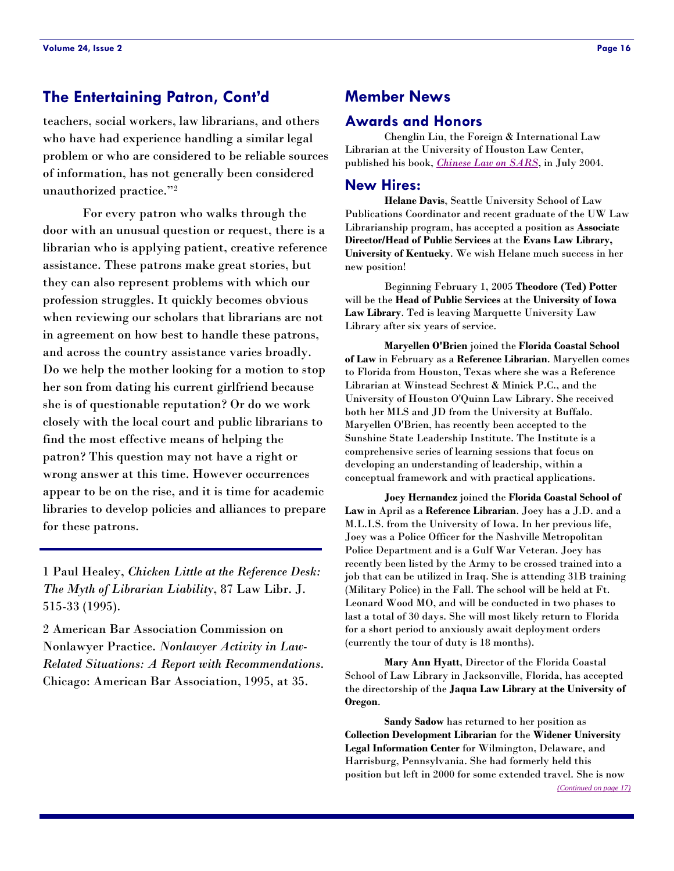## <span id="page-15-0"></span>**The Entertaining Patron, Cont'd**

teachers, social workers, law librarians, and others who have had experience handling a similar legal problem or who are considered to be reliable sources of information, has not generally been considered unauthorized practice."2

 For every patron who walks through the door with an unusual question or request, there is a librarian who is applying patient, creative reference assistance. These patrons make great stories, but they can also represent problems with which our profession struggles. It quickly becomes obvious when reviewing our scholars that librarians are not in agreement on how best to handle these patrons, and across the country assistance varies broadly. Do we help the mother looking for a motion to stop her son from dating his current girlfriend because she is of questionable reputation? Or do we work closely with the local court and public librarians to find the most effective means of helping the patron? This question may not have a right or wrong answer at this time. However occurrences appear to be on the rise, and it is time for academic libraries to develop policies and alliances to prepare for these patrons.

1 Paul Healey, *Chicken Little at the Reference Desk: The Myth of Librarian Liability*, 87 Law Libr. J. 515-33 (1995).

2 American Bar Association Commission on Nonlawyer Practice. *Nonlawyer Activity in Law-Related Situations: A Report with Recommendations*. Chicago: American Bar Association, 1995, at 35.

## **Member News**

#### **Awards and Honors**

 Chenglin Liu, the Foreign & International Law Librarian at the University of Houston Law Center, published his book, *[Chinese Law on SARS](http://www.amazon.com/exec/obidos/ASIN/0837734061/qid%3D1107973051/sr%3D11-1/ref%3Dsr%5F11%5F1/102-1388047-8856965)*, in July 2004.

#### **New Hires:**

**Helane Davis**, Seattle University School of Law Publications Coordinator and recent graduate of the UW Law Librarianship program, has accepted a position as **Associate Director/Head of Public Services** at the **Evans Law Library, University of Kentucky**. We wish Helane much success in her new position!

 Beginning February 1, 2005 **Theodore (Ted) Potter** will be the **Head of Public Services** at the **University of Iowa Law Library**. Ted is leaving Marquette University Law Library after six years of service.

**Maryellen O'Brien** joined the **Florida Coastal School of Law** in February as a **Reference Librarian**. Maryellen comes to Florida from Houston, Texas where she was a Reference Librarian at Winstead Sechrest & Minick P.C., and the University of Houston O'Quinn Law Library. She received both her MLS and JD from the University at Buffalo. Maryellen O'Brien, has recently been accepted to the Sunshine State Leadership Institute. The Institute is a comprehensive series of learning sessions that focus on developing an understanding of leadership, within a conceptual framework and with practical applications.

**Joey Hernandez** joined the **Florida Coastal School of Law** in April as a **Reference Librarian**. Joey has a J.D. and a M.L.I.S. from the University of Iowa. In her previous life, Joey was a Police Officer for the Nashville Metropolitan Police Department and is a Gulf War Veteran. Joey has recently been listed by the Army to be crossed trained into a job that can be utilized in Iraq. She is attending 31B training (Military Police) in the Fall. The school will be held at Ft. Leonard Wood MO, and will be conducted in two phases to last a total of 30 days. She will most likely return to Florida for a short period to anxiously await deployment orders (currently the tour of duty is 18 months).

**Mary Ann Hyatt**, Director of the Florida Coastal School of Law Library in Jacksonville, Florida, has accepted the directorship of the **Jaqua Law Library at the University of Oregon**.

**Sandy Sadow** has returned to her position as **Collection Development Librarian** for the **Widener University Legal Information Center** for Wilmington, Delaware, and Harrisburg, Pennsylvania. She had formerly held this position but left in 2000 for some extended travel. She is now *[\(Continued on page 17\)](#page-16-0)*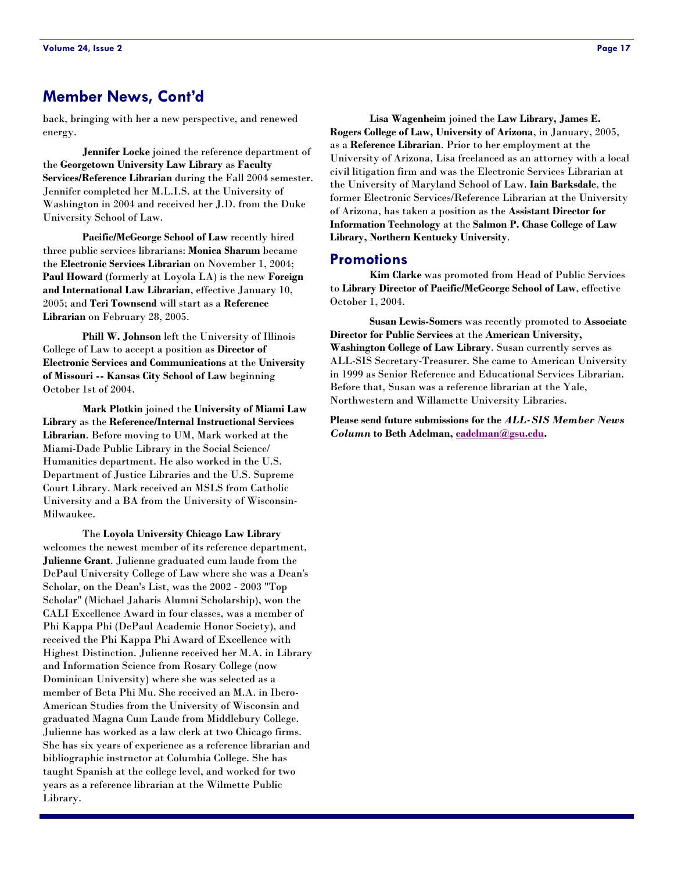## <span id="page-16-0"></span>**Member News, Cont'd**

back, bringing with her a new perspective, and renewed energy.

**Jennifer Locke** joined the reference department of the **Georgetown University Law Library** as **Faculty Services/Reference Librarian** during the Fall 2004 semester. Jennifer completed her M.L.I.S. at the University of Washington in 2004 and received her J.D. from the Duke University School of Law.

**Pacific/McGeorge School of Law** recently hired three public services librarians: **Monica Sharum** became the **Electronic Services Librarian** on November 1, 2004; **Paul Howard** (formerly at Loyola LA) is the new **Foreign and International Law Librarian**, effective January 10, 2005; and **Teri Townsend** will start as a **Reference Librarian** on February 28, 2005.

**Phill W. Johnson** left the University of Illinois College of Law to accept a position as **Director of Electronic Services and Communications** at the **University of Missouri -- Kansas City School of Law** beginning October 1st of 2004.

**Mark Plotkin** joined the **University of Miami Law Library** as the **Reference/Internal Instructional Services Librarian**. Before moving to UM, Mark worked at the Miami-Dade Public Library in the Social Science/ Humanities department. He also worked in the U.S. Department of Justice Libraries and the U.S. Supreme Court Library. Mark received an MSLS from Catholic University and a BA from the University of Wisconsin-Milwaukee.

 The **Loyola University Chicago Law Library** welcomes the newest member of its reference department, **Julienne Grant**. Julienne graduated cum laude from the DePaul University College of Law where she was a Dean's Scholar, on the Dean's List, was the 2002 - 2003 "Top Scholar" (Michael Jaharis Alumni Scholarship), won the CALI Excellence Award in four classes, was a member of Phi Kappa Phi (DePaul Academic Honor Society), and received the Phi Kappa Phi Award of Excellence with Highest Distinction. Julienne received her M.A. in Library and Information Science from Rosary College (now Dominican University) where she was selected as a member of Beta Phi Mu. She received an M.A. in Ibero-American Studies from the University of Wisconsin and graduated Magna Cum Laude from Middlebury College. Julienne has worked as a law clerk at two Chicago firms. She has six years of experience as a reference librarian and bibliographic instructor at Columbia College. She has taught Spanish at the college level, and worked for two years as a reference librarian at the Wilmette Public Library.

**Lisa Wagenheim** joined the **Law Library, James E. Rogers College of Law, University of Arizona**, in January, 2005, as a **Reference Librarian**. Prior to her employment at the University of Arizona, Lisa freelanced as an attorney with a local civil litigation firm and was the Electronic Services Librarian at the University of Maryland School of Law. **Iain Barksdale**, the former Electronic Services/Reference Librarian at the University of Arizona, has taken a position as the **Assistant Director for Information Technology** at the **Salmon P. Chase College of Law Library, Northern Kentucky University**.

#### **Promotions**

**Kim Clarke** was promoted from Head of Public Services to **Library Director of Pacific/McGeorge School of Law**, effective October 1, 2004.

**Susan Lewis-Somers** was recently promoted to **Associate Director for Public Services** at the **American University, Washington College of Law Library**. Susan currently serves as ALL-SIS Secretary-Treasurer. She came to American University in 1999 as Senior Reference and Educational Services Librarian. Before that, Susan was a reference librarian at the Yale, Northwestern and Willamette University Libraries.

**Please send future submissions for the** *ALL-SIS Member News Column* **to Beth Adelman, [eadelman@gsu.edu](mailto:eadelman@gsu.edu).**